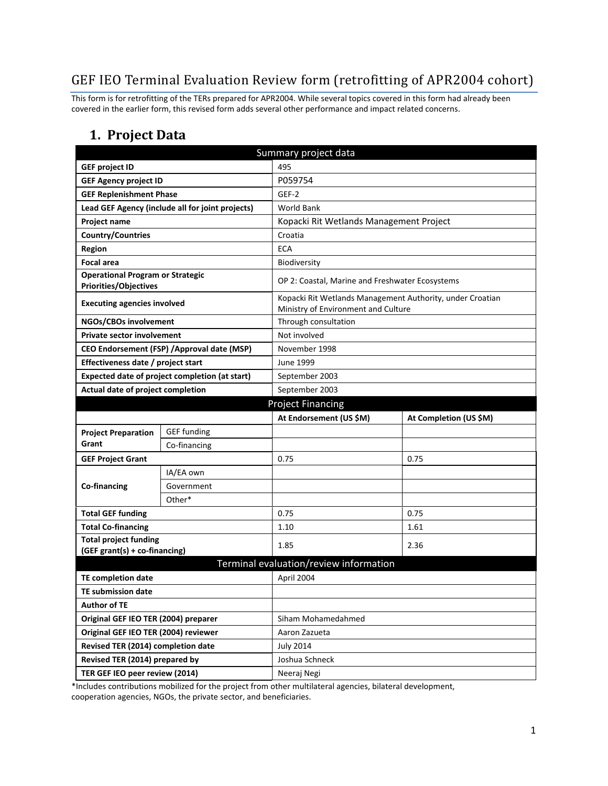# GEF IEO Terminal Evaluation Review form (retrofitting of APR2004 cohort)

This form is for retrofitting of the TERs prepared for APR2004. While several topics covered in this form had already been covered in the earlier form, this revised form adds several other performance and impact related concerns.

#### **1. Project Data**

| Summary project data                                             |                                                  |                                                                                                  |                        |  |
|------------------------------------------------------------------|--------------------------------------------------|--------------------------------------------------------------------------------------------------|------------------------|--|
| <b>GEF project ID</b>                                            |                                                  | 495                                                                                              |                        |  |
| <b>GEF Agency project ID</b>                                     |                                                  | P059754                                                                                          |                        |  |
| <b>GEF Replenishment Phase</b>                                   |                                                  | GEF-2                                                                                            |                        |  |
|                                                                  | Lead GEF Agency (include all for joint projects) | <b>World Bank</b>                                                                                |                        |  |
| Project name                                                     |                                                  | Kopacki Rit Wetlands Management Project                                                          |                        |  |
| <b>Country/Countries</b>                                         |                                                  | Croatia                                                                                          |                        |  |
| <b>Region</b>                                                    |                                                  | <b>ECA</b>                                                                                       |                        |  |
| <b>Focal area</b>                                                |                                                  | Biodiversity                                                                                     |                        |  |
| <b>Operational Program or Strategic</b><br>Priorities/Objectives |                                                  | OP 2: Coastal, Marine and Freshwater Ecosystems                                                  |                        |  |
| <b>Executing agencies involved</b>                               |                                                  | Kopacki Rit Wetlands Management Authority, under Croatian<br>Ministry of Environment and Culture |                        |  |
| NGOs/CBOs involvement                                            |                                                  | Through consultation                                                                             |                        |  |
| <b>Private sector involvement</b>                                |                                                  | Not involved                                                                                     |                        |  |
|                                                                  | CEO Endorsement (FSP) / Approval date (MSP)      | November 1998                                                                                    |                        |  |
| Effectiveness date / project start                               |                                                  | June 1999                                                                                        |                        |  |
|                                                                  | Expected date of project completion (at start)   | September 2003                                                                                   |                        |  |
| Actual date of project completion                                |                                                  | September 2003                                                                                   |                        |  |
|                                                                  |                                                  | <b>Project Financing</b>                                                                         |                        |  |
|                                                                  |                                                  | At Endorsement (US \$M)                                                                          | At Completion (US \$M) |  |
| <b>Project Preparation</b>                                       | <b>GEF funding</b>                               |                                                                                                  |                        |  |
| Grant                                                            | Co-financing                                     |                                                                                                  |                        |  |
| <b>GEF Project Grant</b>                                         |                                                  | 0.75                                                                                             | 0.75                   |  |
|                                                                  | IA/EA own                                        |                                                                                                  |                        |  |
| Co-financing                                                     | Government                                       |                                                                                                  |                        |  |
|                                                                  | Other*                                           |                                                                                                  |                        |  |
| <b>Total GEF funding</b>                                         |                                                  | 0.75                                                                                             | 0.75                   |  |
| <b>Total Co-financing</b>                                        |                                                  | 1.10                                                                                             | 1.61                   |  |
| <b>Total project funding</b><br>(GEF grant(s) + co-financing)    |                                                  | 1.85                                                                                             | 2.36                   |  |
|                                                                  |                                                  | Terminal evaluation/review information                                                           |                        |  |
| TE completion date                                               |                                                  | April 2004                                                                                       |                        |  |
| <b>TE submission date</b>                                        |                                                  |                                                                                                  |                        |  |
| <b>Author of TE</b>                                              |                                                  |                                                                                                  |                        |  |
| Original GEF IEO TER (2004) preparer                             |                                                  | Siham Mohamedahmed                                                                               |                        |  |
| Original GEF IEO TER (2004) reviewer                             |                                                  | Aaron Zazueta                                                                                    |                        |  |
| Revised TER (2014) completion date                               |                                                  | <b>July 2014</b>                                                                                 |                        |  |
| Revised TER (2014) prepared by                                   |                                                  | Joshua Schneck                                                                                   |                        |  |
| TER GEF IEO peer review (2014)                                   |                                                  | Neeraj Negi                                                                                      |                        |  |

\*Includes contributions mobilized for the project from other multilateral agencies, bilateral development, cooperation agencies, NGOs, the private sector, and beneficiaries.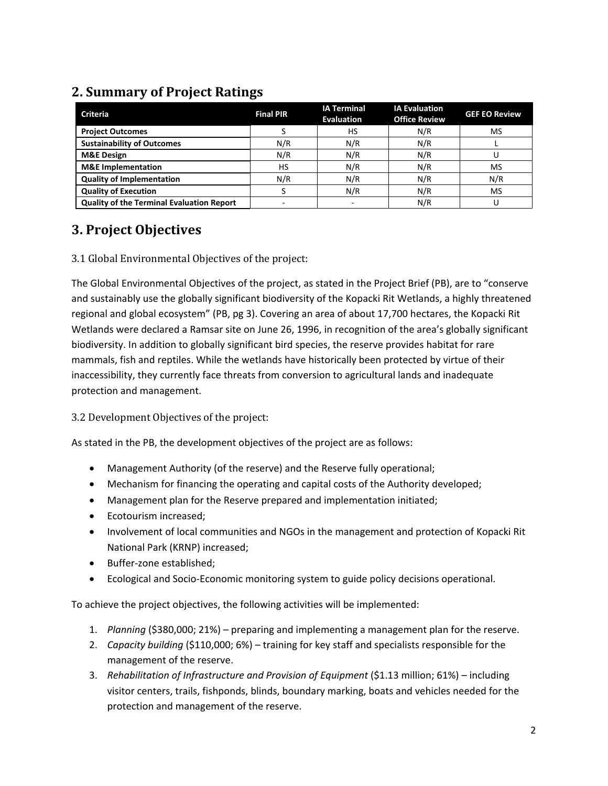### **2. Summary of Project Ratings**

| <b>Criteria</b>                                  | <b>Final PIR</b> | <b>IA Terminal</b><br><b>Evaluation</b> | <b>IA Evaluation</b><br><b>Office Review</b> | <b>GEF EO Review</b> |
|--------------------------------------------------|------------------|-----------------------------------------|----------------------------------------------|----------------------|
| <b>Project Outcomes</b>                          |                  | HS                                      | N/R                                          | MS                   |
| <b>Sustainability of Outcomes</b>                | N/R              | N/R                                     | N/R                                          |                      |
| <b>M&amp;E Design</b>                            | N/R              | N/R                                     | N/R                                          |                      |
| <b>M&amp;E</b> Implementation                    | HS               | N/R                                     | N/R                                          | MS                   |
| <b>Quality of Implementation</b>                 | N/R              | N/R                                     | N/R                                          | N/R                  |
| <b>Quality of Execution</b>                      |                  | N/R                                     | N/R                                          | MS                   |
| <b>Quality of the Terminal Evaluation Report</b> |                  |                                         | N/R                                          |                      |

# **3. Project Objectives**

3.1 Global Environmental Objectives of the project:

The Global Environmental Objectives of the project, as stated in the Project Brief (PB), are to "conserve and sustainably use the globally significant biodiversity of the Kopacki Rit Wetlands, a highly threatened regional and global ecosystem" (PB, pg 3). Covering an area of about 17,700 hectares, the Kopacki Rit Wetlands were declared a Ramsar site on June 26, 1996, in recognition of the area's globally significant biodiversity. In addition to globally significant bird species, the reserve provides habitat for rare mammals, fish and reptiles. While the wetlands have historically been protected by virtue of their inaccessibility, they currently face threats from conversion to agricultural lands and inadequate protection and management.

3.2 Development Objectives of the project:

As stated in the PB, the development objectives of the project are as follows:

- Management Authority (of the reserve) and the Reserve fully operational;
- Mechanism for financing the operating and capital costs of the Authority developed;
- Management plan for the Reserve prepared and implementation initiated;
- Ecotourism increased;
- Involvement of local communities and NGOs in the management and protection of Kopacki Rit National Park (KRNP) increased;
- Buffer-zone established;
- Ecological and Socio-Economic monitoring system to guide policy decisions operational.

To achieve the project objectives, the following activities will be implemented:

- 1. *Planning* (\$380,000; 21%) preparing and implementing a management plan for the reserve.
- 2. *Capacity building* (\$110,000; 6%) training for key staff and specialists responsible for the management of the reserve.
- 3. *Rehabilitation of Infrastructure and Provision of Equipment* (\$1.13 million; 61%) including visitor centers, trails, fishponds, blinds, boundary marking, boats and vehicles needed for the protection and management of the reserve.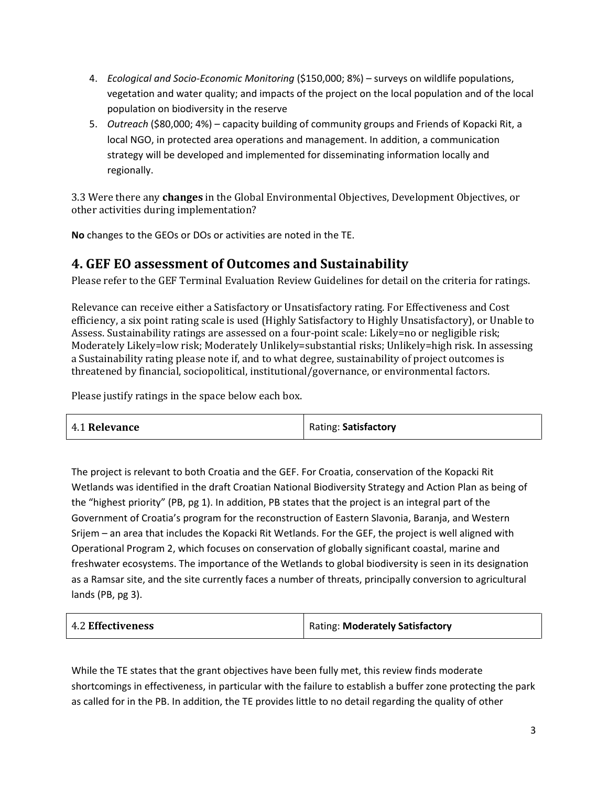- 4. *Ecological and Socio-Economic Monitoring* (\$150,000; 8%) surveys on wildlife populations, vegetation and water quality; and impacts of the project on the local population and of the local population on biodiversity in the reserve
- 5. *Outreach* (\$80,000; 4%) capacity building of community groups and Friends of Kopacki Rit, a local NGO, in protected area operations and management. In addition, a communication strategy will be developed and implemented for disseminating information locally and regionally.

3.3 Were there any **changes** in the Global Environmental Objectives, Development Objectives, or other activities during implementation?

**No** changes to the GEOs or DOs or activities are noted in the TE.

### **4. GEF EO assessment of Outcomes and Sustainability**

Please refer to the GEF Terminal Evaluation Review Guidelines for detail on the criteria for ratings.

Relevance can receive either a Satisfactory or Unsatisfactory rating. For Effectiveness and Cost efficiency, a six point rating scale is used (Highly Satisfactory to Highly Unsatisfactory), or Unable to Assess. Sustainability ratings are assessed on a four-point scale: Likely=no or negligible risk; Moderately Likely=low risk; Moderately Unlikely=substantial risks; Unlikely=high risk. In assessing a Sustainability rating please note if, and to what degree, sustainability of project outcomes is threatened by financial, sociopolitical, institutional/governance, or environmental factors.

Please justify ratings in the space below each box.

| 4.1 Relevance | Rating: Satisfactory |
|---------------|----------------------|
|---------------|----------------------|

The project is relevant to both Croatia and the GEF. For Croatia, conservation of the Kopacki Rit Wetlands was identified in the draft Croatian National Biodiversity Strategy and Action Plan as being of the "highest priority" (PB, pg 1). In addition, PB states that the project is an integral part of the Government of Croatia's program for the reconstruction of Eastern Slavonia, Baranja, and Western Srijem – an area that includes the Kopacki Rit Wetlands. For the GEF, the project is well aligned with Operational Program 2, which focuses on conservation of globally significant coastal, marine and freshwater ecosystems. The importance of the Wetlands to global biodiversity is seen in its designation as a Ramsar site, and the site currently faces a number of threats, principally conversion to agricultural lands (PB, pg 3).

| <b>4.2 Effectiveness</b> | Rating: Moderately Satisfactory |
|--------------------------|---------------------------------|
|--------------------------|---------------------------------|

While the TE states that the grant objectives have been fully met, this review finds moderate shortcomings in effectiveness, in particular with the failure to establish a buffer zone protecting the park as called for in the PB. In addition, the TE provides little to no detail regarding the quality of other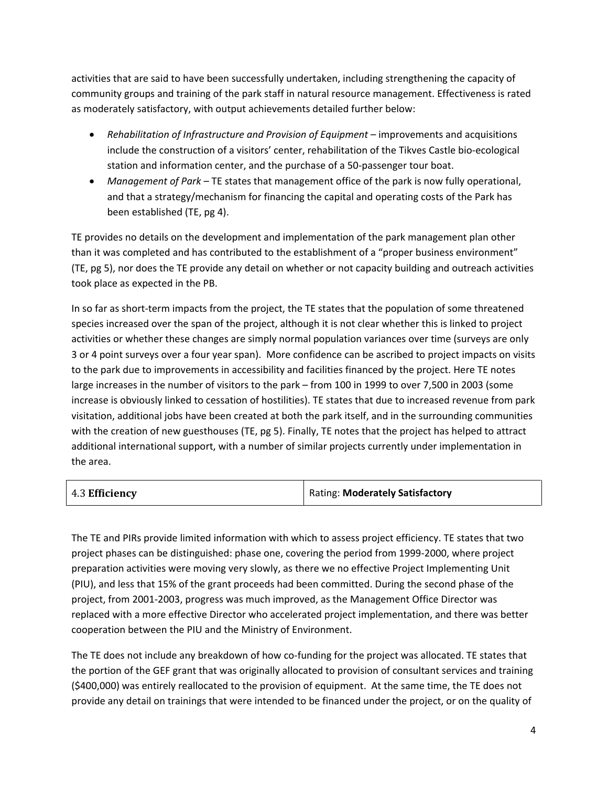activities that are said to have been successfully undertaken, including strengthening the capacity of community groups and training of the park staff in natural resource management. Effectiveness is rated as moderately satisfactory, with output achievements detailed further below:

- **Rehabilitation of Infrastructure and Provision of Equipment** improvements and acquisitions include the construction of a visitors' center, rehabilitation of the Tikves Castle bio-ecological station and information center, and the purchase of a 50-passenger tour boat.
- *Management of Park*  TE states that management office of the park is now fully operational, and that a strategy/mechanism for financing the capital and operating costs of the Park has been established (TE, pg 4).

TE provides no details on the development and implementation of the park management plan other than it was completed and has contributed to the establishment of a "proper business environment" (TE, pg 5), nor does the TE provide any detail on whether or not capacity building and outreach activities took place as expected in the PB.

In so far as short-term impacts from the project, the TE states that the population of some threatened species increased over the span of the project, although it is not clear whether this is linked to project activities or whether these changes are simply normal population variances over time (surveys are only 3 or 4 point surveys over a four year span). More confidence can be ascribed to project impacts on visits to the park due to improvements in accessibility and facilities financed by the project. Here TE notes large increases in the number of visitors to the park – from 100 in 1999 to over 7,500 in 2003 (some increase is obviously linked to cessation of hostilities). TE states that due to increased revenue from park visitation, additional jobs have been created at both the park itself, and in the surrounding communities with the creation of new guesthouses (TE, pg 5). Finally, TE notes that the project has helped to attract additional international support, with a number of similar projects currently under implementation in the area.

| 4.3 Efficiency | Rating: Moderately Satisfactory |
|----------------|---------------------------------|
|                |                                 |

The TE and PIRs provide limited information with which to assess project efficiency. TE states that two project phases can be distinguished: phase one, covering the period from 1999-2000, where project preparation activities were moving very slowly, as there we no effective Project Implementing Unit (PIU), and less that 15% of the grant proceeds had been committed. During the second phase of the project, from 2001-2003, progress was much improved, as the Management Office Director was replaced with a more effective Director who accelerated project implementation, and there was better cooperation between the PIU and the Ministry of Environment.

The TE does not include any breakdown of how co-funding for the project was allocated. TE states that the portion of the GEF grant that was originally allocated to provision of consultant services and training (\$400,000) was entirely reallocated to the provision of equipment. At the same time, the TE does not provide any detail on trainings that were intended to be financed under the project, or on the quality of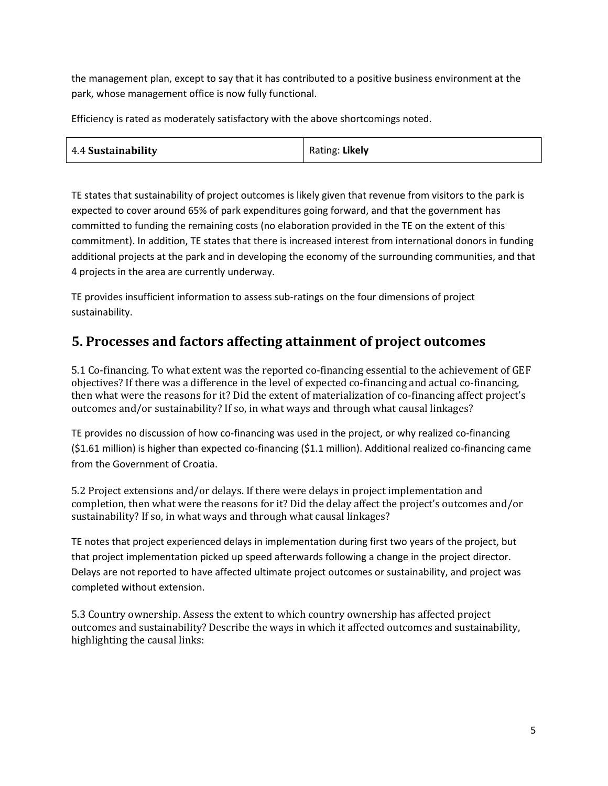the management plan, except to say that it has contributed to a positive business environment at the park, whose management office is now fully functional.

Efficiency is rated as moderately satisfactory with the above shortcomings noted.

| 4.4 Sustainability | Rating: Likely |
|--------------------|----------------|
|--------------------|----------------|

TE states that sustainability of project outcomes is likely given that revenue from visitors to the park is expected to cover around 65% of park expenditures going forward, and that the government has committed to funding the remaining costs (no elaboration provided in the TE on the extent of this commitment). In addition, TE states that there is increased interest from international donors in funding additional projects at the park and in developing the economy of the surrounding communities, and that 4 projects in the area are currently underway.

TE provides insufficient information to assess sub-ratings on the four dimensions of project sustainability.

### **5. Processes and factors affecting attainment of project outcomes**

5.1 Co-financing. To what extent was the reported co-financing essential to the achievement of GEF objectives? If there was a difference in the level of expected co-financing and actual co-financing, then what were the reasons for it? Did the extent of materialization of co-financing affect project's outcomes and/or sustainability? If so, in what ways and through what causal linkages?

TE provides no discussion of how co-financing was used in the project, or why realized co-financing (\$1.61 million) is higher than expected co-financing (\$1.1 million). Additional realized co-financing came from the Government of Croatia.

5.2 Project extensions and/or delays. If there were delays in project implementation and completion, then what were the reasons for it? Did the delay affect the project's outcomes and/or sustainability? If so, in what ways and through what causal linkages?

TE notes that project experienced delays in implementation during first two years of the project, but that project implementation picked up speed afterwards following a change in the project director. Delays are not reported to have affected ultimate project outcomes or sustainability, and project was completed without extension.

5.3 Country ownership. Assess the extent to which country ownership has affected project outcomes and sustainability? Describe the ways in which it affected outcomes and sustainability, highlighting the causal links: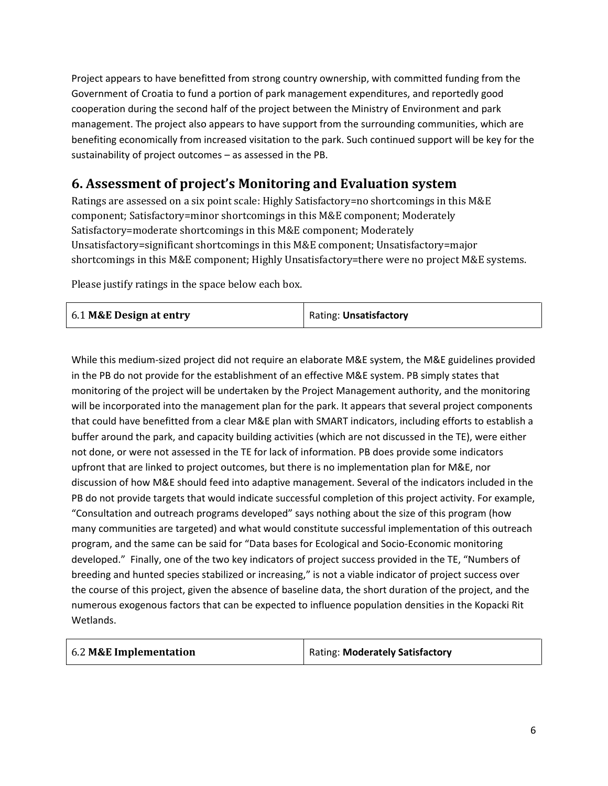Project appears to have benefitted from strong country ownership, with committed funding from the Government of Croatia to fund a portion of park management expenditures, and reportedly good cooperation during the second half of the project between the Ministry of Environment and park management. The project also appears to have support from the surrounding communities, which are benefiting economically from increased visitation to the park. Such continued support will be key for the sustainability of project outcomes – as assessed in the PB.

### **6. Assessment of project's Monitoring and Evaluation system**

Ratings are assessed on a six point scale: Highly Satisfactory=no shortcomings in this M&E component; Satisfactory=minor shortcomings in this M&E component; Moderately Satisfactory=moderate shortcomings in this M&E component; Moderately Unsatisfactory=significant shortcomings in this M&E component; Unsatisfactory=major shortcomings in this M&E component; Highly Unsatisfactory=there were no project M&E systems.

Please justify ratings in the space below each box.

| 6.1 M&E Design at entry | Rating: <b>Unsatisfactory</b> |
|-------------------------|-------------------------------|
|-------------------------|-------------------------------|

While this medium-sized project did not require an elaborate M&E system, the M&E guidelines provided in the PB do not provide for the establishment of an effective M&E system. PB simply states that monitoring of the project will be undertaken by the Project Management authority, and the monitoring will be incorporated into the management plan for the park. It appears that several project components that could have benefitted from a clear M&E plan with SMART indicators, including efforts to establish a buffer around the park, and capacity building activities (which are not discussed in the TE), were either not done, or were not assessed in the TE for lack of information. PB does provide some indicators upfront that are linked to project outcomes, but there is no implementation plan for M&E, nor discussion of how M&E should feed into adaptive management. Several of the indicators included in the PB do not provide targets that would indicate successful completion of this project activity. For example, "Consultation and outreach programs developed" says nothing about the size of this program (how many communities are targeted) and what would constitute successful implementation of this outreach program, and the same can be said for "Data bases for Ecological and Socio-Economic monitoring developed." Finally, one of the two key indicators of project success provided in the TE, "Numbers of breeding and hunted species stabilized or increasing," is not a viable indicator of project success over the course of this project, given the absence of baseline data, the short duration of the project, and the numerous exogenous factors that can be expected to influence population densities in the Kopacki Rit Wetlands.

| 6.2 M&E Implementation | <b>Rating: Moderately Satisfactory</b> |
|------------------------|----------------------------------------|
|------------------------|----------------------------------------|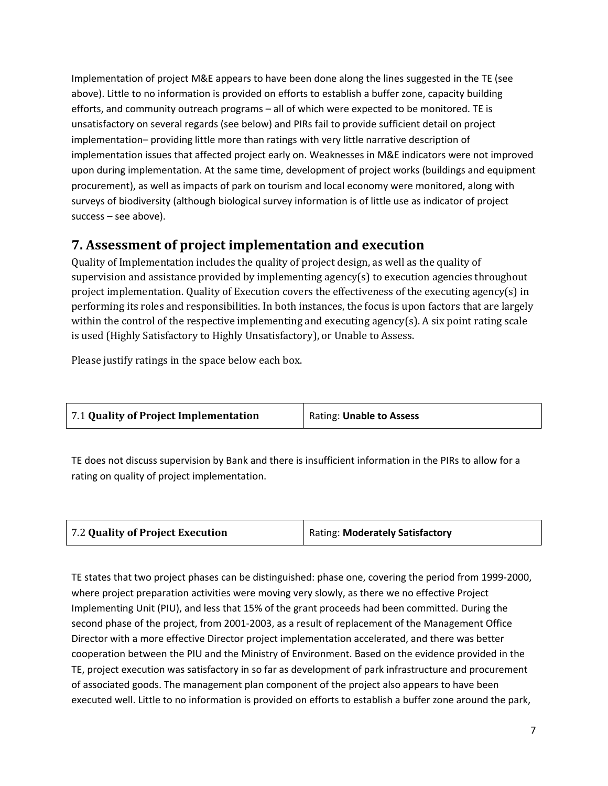Implementation of project M&E appears to have been done along the lines suggested in the TE (see above). Little to no information is provided on efforts to establish a buffer zone, capacity building efforts, and community outreach programs – all of which were expected to be monitored. TE is unsatisfactory on several regards (see below) and PIRs fail to provide sufficient detail on project implementation– providing little more than ratings with very little narrative description of implementation issues that affected project early on. Weaknesses in M&E indicators were not improved upon during implementation. At the same time, development of project works (buildings and equipment procurement), as well as impacts of park on tourism and local economy were monitored, along with surveys of biodiversity (although biological survey information is of little use as indicator of project success – see above).

### **7. Assessment of project implementation and execution**

Quality of Implementation includes the quality of project design, as well as the quality of supervision and assistance provided by implementing agency(s) to execution agencies throughout project implementation. Quality of Execution covers the effectiveness of the executing agency(s) in performing its roles and responsibilities. In both instances, the focus is upon factors that are largely within the control of the respective implementing and executing agency(s). A six point rating scale is used (Highly Satisfactory to Highly Unsatisfactory), or Unable to Assess.

Please justify ratings in the space below each box.

| 7.1 Quality of Project Implementation | Rating: Unable to Assess |
|---------------------------------------|--------------------------|
|---------------------------------------|--------------------------|

TE does not discuss supervision by Bank and there is insufficient information in the PIRs to allow for a rating on quality of project implementation.

| 7.2 Quality of Project Execution | <b>Rating: Moderately Satisfactory</b> |
|----------------------------------|----------------------------------------|
|                                  |                                        |

TE states that two project phases can be distinguished: phase one, covering the period from 1999-2000, where project preparation activities were moving very slowly, as there we no effective Project Implementing Unit (PIU), and less that 15% of the grant proceeds had been committed. During the second phase of the project, from 2001-2003, as a result of replacement of the Management Office Director with a more effective Director project implementation accelerated, and there was better cooperation between the PIU and the Ministry of Environment. Based on the evidence provided in the TE, project execution was satisfactory in so far as development of park infrastructure and procurement of associated goods. The management plan component of the project also appears to have been executed well. Little to no information is provided on efforts to establish a buffer zone around the park,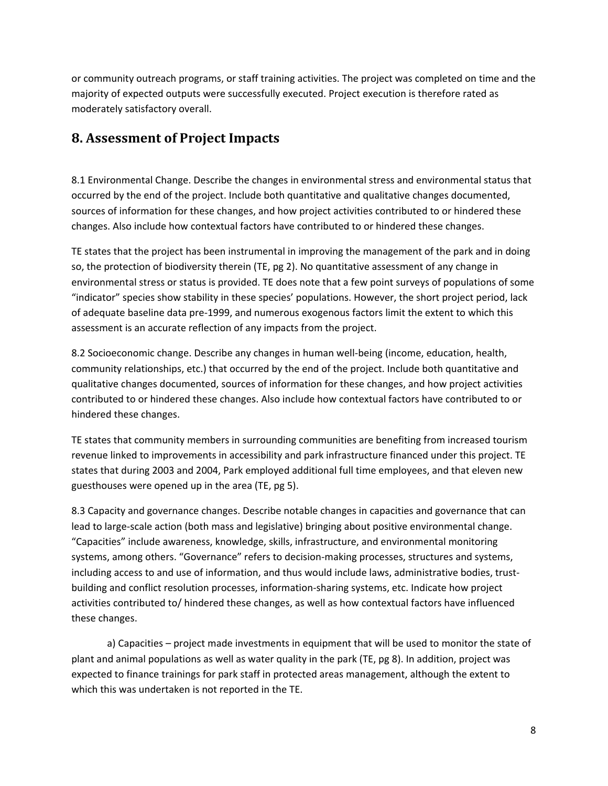or community outreach programs, or staff training activities. The project was completed on time and the majority of expected outputs were successfully executed. Project execution is therefore rated as moderately satisfactory overall.

### **8. Assessment of Project Impacts**

8.1 Environmental Change. Describe the changes in environmental stress and environmental status that occurred by the end of the project. Include both quantitative and qualitative changes documented, sources of information for these changes, and how project activities contributed to or hindered these changes. Also include how contextual factors have contributed to or hindered these changes.

TE states that the project has been instrumental in improving the management of the park and in doing so, the protection of biodiversity therein (TE, pg 2). No quantitative assessment of any change in environmental stress or status is provided. TE does note that a few point surveys of populations of some "indicator" species show stability in these species' populations. However, the short project period, lack of adequate baseline data pre-1999, and numerous exogenous factors limit the extent to which this assessment is an accurate reflection of any impacts from the project.

8.2 Socioeconomic change. Describe any changes in human well-being (income, education, health, community relationships, etc.) that occurred by the end of the project. Include both quantitative and qualitative changes documented, sources of information for these changes, and how project activities contributed to or hindered these changes. Also include how contextual factors have contributed to or hindered these changes.

TE states that community members in surrounding communities are benefiting from increased tourism revenue linked to improvements in accessibility and park infrastructure financed under this project. TE states that during 2003 and 2004, Park employed additional full time employees, and that eleven new guesthouses were opened up in the area (TE, pg 5).

8.3 Capacity and governance changes. Describe notable changes in capacities and governance that can lead to large-scale action (both mass and legislative) bringing about positive environmental change. "Capacities" include awareness, knowledge, skills, infrastructure, and environmental monitoring systems, among others. "Governance" refers to decision-making processes, structures and systems, including access to and use of information, and thus would include laws, administrative bodies, trustbuilding and conflict resolution processes, information-sharing systems, etc. Indicate how project activities contributed to/ hindered these changes, as well as how contextual factors have influenced these changes.

a) Capacities – project made investments in equipment that will be used to monitor the state of plant and animal populations as well as water quality in the park (TE, pg 8). In addition, project was expected to finance trainings for park staff in protected areas management, although the extent to which this was undertaken is not reported in the TE.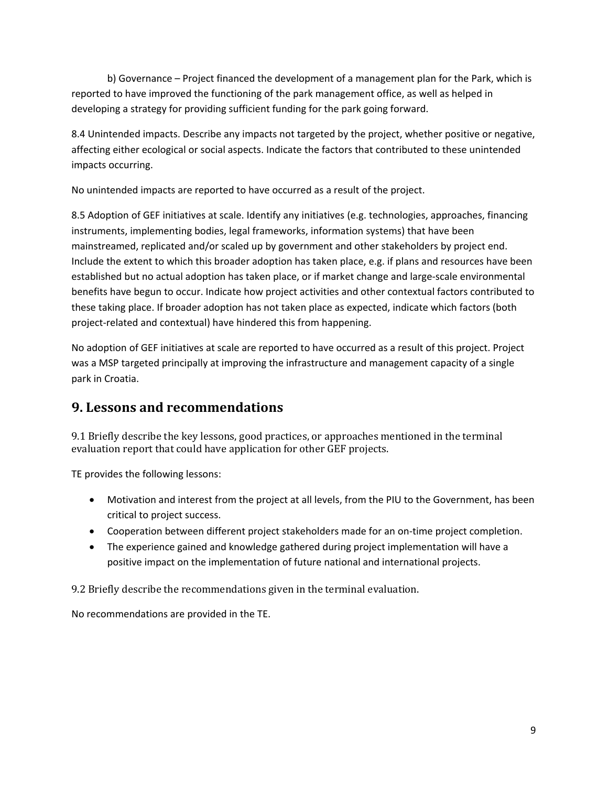b) Governance – Project financed the development of a management plan for the Park, which is reported to have improved the functioning of the park management office, as well as helped in developing a strategy for providing sufficient funding for the park going forward.

8.4 Unintended impacts. Describe any impacts not targeted by the project, whether positive or negative, affecting either ecological or social aspects. Indicate the factors that contributed to these unintended impacts occurring.

No unintended impacts are reported to have occurred as a result of the project.

8.5 Adoption of GEF initiatives at scale. Identify any initiatives (e.g. technologies, approaches, financing instruments, implementing bodies, legal frameworks, information systems) that have been mainstreamed, replicated and/or scaled up by government and other stakeholders by project end. Include the extent to which this broader adoption has taken place, e.g. if plans and resources have been established but no actual adoption has taken place, or if market change and large-scale environmental benefits have begun to occur. Indicate how project activities and other contextual factors contributed to these taking place. If broader adoption has not taken place as expected, indicate which factors (both project-related and contextual) have hindered this from happening.

No adoption of GEF initiatives at scale are reported to have occurred as a result of this project. Project was a MSP targeted principally at improving the infrastructure and management capacity of a single park in Croatia.

### **9. Lessons and recommendations**

9.1 Briefly describe the key lessons, good practices, or approaches mentioned in the terminal evaluation report that could have application for other GEF projects.

TE provides the following lessons:

- Motivation and interest from the project at all levels, from the PIU to the Government, has been critical to project success.
- Cooperation between different project stakeholders made for an on-time project completion.
- The experience gained and knowledge gathered during project implementation will have a positive impact on the implementation of future national and international projects.

9.2 Briefly describe the recommendations given in the terminal evaluation.

No recommendations are provided in the TE.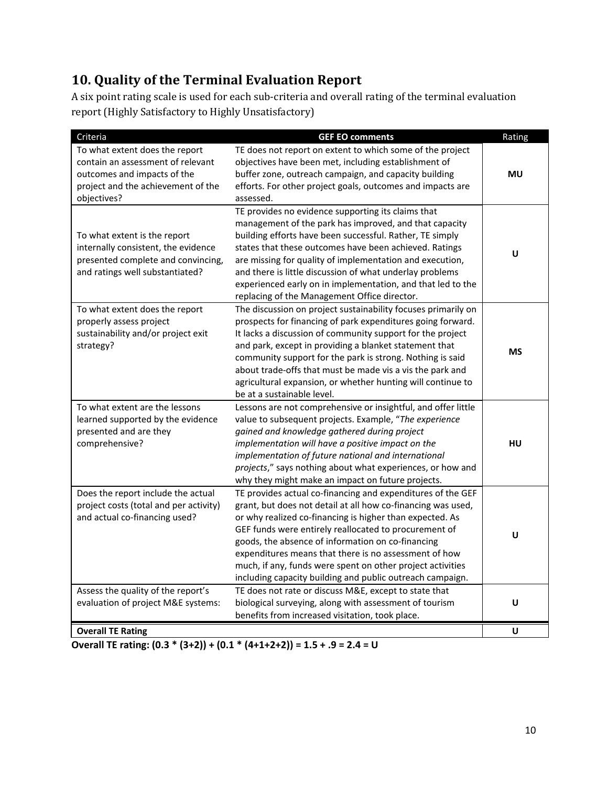# **10. Quality of the Terminal Evaluation Report**

A six point rating scale is used for each sub-criteria and overall rating of the terminal evaluation report (Highly Satisfactory to Highly Unsatisfactory)

| Criteria                                                                                                                                                | <b>GEF EO comments</b>                                                                                                                                                                                                                                                                                                                                                                                                                                                                    | Rating    |
|---------------------------------------------------------------------------------------------------------------------------------------------------------|-------------------------------------------------------------------------------------------------------------------------------------------------------------------------------------------------------------------------------------------------------------------------------------------------------------------------------------------------------------------------------------------------------------------------------------------------------------------------------------------|-----------|
| To what extent does the report<br>contain an assessment of relevant<br>outcomes and impacts of the<br>project and the achievement of the<br>objectives? | TE does not report on extent to which some of the project<br>objectives have been met, including establishment of<br>buffer zone, outreach campaign, and capacity building<br>efforts. For other project goals, outcomes and impacts are<br>assessed.                                                                                                                                                                                                                                     | MU        |
| To what extent is the report<br>internally consistent, the evidence<br>presented complete and convincing,<br>and ratings well substantiated?            | TE provides no evidence supporting its claims that<br>management of the park has improved, and that capacity<br>building efforts have been successful. Rather, TE simply<br>states that these outcomes have been achieved. Ratings<br>are missing for quality of implementation and execution,<br>and there is little discussion of what underlay problems<br>experienced early on in implementation, and that led to the<br>replacing of the Management Office director.                 | U         |
| To what extent does the report<br>properly assess project<br>sustainability and/or project exit<br>strategy?                                            | The discussion on project sustainability focuses primarily on<br>prospects for financing of park expenditures going forward.<br>It lacks a discussion of community support for the project<br>and park, except in providing a blanket statement that<br>community support for the park is strong. Nothing is said<br>about trade-offs that must be made vis a vis the park and<br>agricultural expansion, or whether hunting will continue to<br>be at a sustainable level.               | <b>MS</b> |
| To what extent are the lessons<br>learned supported by the evidence<br>presented and are they<br>comprehensive?                                         | Lessons are not comprehensive or insightful, and offer little<br>value to subsequent projects. Example, "The experience<br>gained and knowledge gathered during project<br>implementation will have a positive impact on the<br>implementation of future national and international<br>projects," says nothing about what experiences, or how and<br>why they might make an impact on future projects.                                                                                    | HU        |
| Does the report include the actual<br>project costs (total and per activity)<br>and actual co-financing used?                                           | TE provides actual co-financing and expenditures of the GEF<br>grant, but does not detail at all how co-financing was used,<br>or why realized co-financing is higher than expected. As<br>GEF funds were entirely reallocated to procurement of<br>goods, the absence of information on co-financing<br>expenditures means that there is no assessment of how<br>much, if any, funds were spent on other project activities<br>including capacity building and public outreach campaign. | U         |
| Assess the quality of the report's<br>evaluation of project M&E systems:                                                                                | TE does not rate or discuss M&E, except to state that<br>biological surveying, along with assessment of tourism<br>benefits from increased visitation, took place.                                                                                                                                                                                                                                                                                                                        | U         |
| <b>Overall TE Rating</b>                                                                                                                                |                                                                                                                                                                                                                                                                                                                                                                                                                                                                                           | U         |

**Overall TE rating: (0.3 \* (3+2)) + (0.1 \* (4+1+2+2)) = 1.5 + .9 = 2.4 = U**